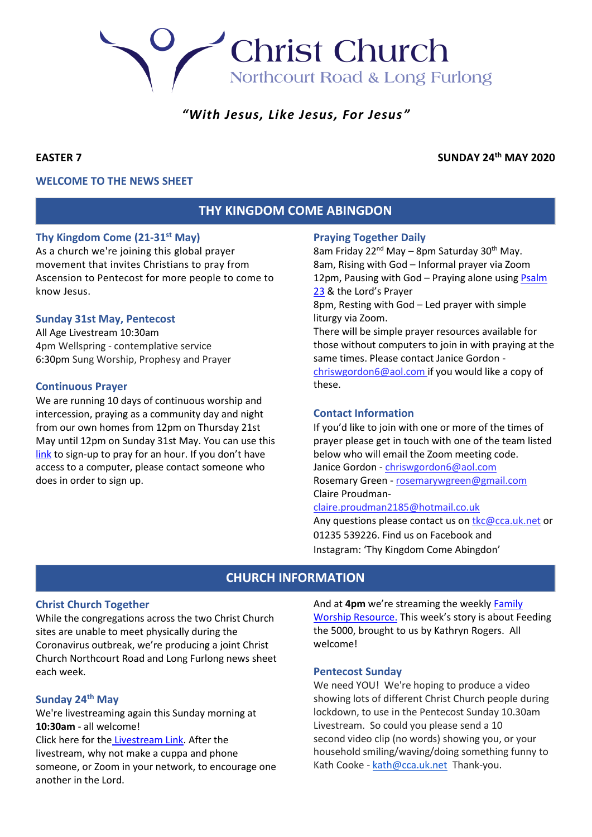# **Christ Church** Northcourt Road & Long Furlong

## *"With Jesus, Like Jesus, For Jesus"*

### **EASTER 7 SUNDAY 24th MAY 2020**

### **WELCOME TO THE NEWS SHEET**

### **THY KINGDOM COME ABINGDON**

### **Thy Kingdom Come (21-31st May)**

As a church we're joining this global prayer movement that invites Christians to pray from Ascension to Pentecost for more people to come to know Jesus.

### **Sunday 31st May, Pentecost**

All Age Livestream 10:30am 4pm Wellspring - contemplative service 6:30pm Sung Worship, Prophesy and Prayer

### **Continuous Prayer**

We are running 10 days of continuous worship and intercession, praying as a community day and night from our own homes from 12pm on Thursday 21st May until 12pm on Sunday 31st May. You can use this [link](http://www.24-7prayer.com/signup/618ce4) to sign-up to pray for an hour. If you don't have access to a computer, please contact someone who does in order to sign up.

### **Praying Together Daily**

8am Friday 22<sup>nd</sup> May – 8pm Saturday 30<sup>th</sup> May. 8am, Rising with God – Informal prayer via Zoom 12pm, Pausing with God – Praying alone using Psalm [23](https://cdn.filestackcontent.com/328JdgvOSKecKHzfBEcI) & the Lord's Prayer 8pm, Resting with God – Led prayer with simple liturgy via Zoom. There will be simple prayer resources available for those without computers to join in with praying at the same times. Please contact Janice Gordon [chriswgordon6@aol.com](mailto:chriswgordon6@aol.com) if you would like a copy of these.

### **Contact Information**

If you'd like to join with one or more of the times of prayer please get in touch with one of the team listed below who will email the Zoom meeting code. Janice Gordon - [chriswgordon6@aol.com](mailto:chriswgordon6@aol.com) Rosemary Green - [rosemarywgreen@gmail.com](mailto:rosemarywgreen@gmail.com) Claire Proudman-

### [claire.proudman2185@hotmail.co.uk](mailto:claire.proudman2185@hotmail.co.uk)

Any questions please contact us on [tkc@cca.uk.net](mailto:tkc@cca.uk.net) or 01235 539226. Find us on Facebook and Instagram: 'Thy Kingdom Come Abingdon'

### **CHURCH INFORMATION**

### **Christ Church Together**

While the congregations across the two Christ Church sites are unable to meet physically during the Coronavirus outbreak, we're producing a joint Christ Church Northcourt Road and Long Furlong news sheet each week.

### **Sunday 24th May**

We're livestreaming again this Sunday morning at **10:30am** - all welcome! Click here for the [Livestream Link.](https://youtu.be/_eCtRC5uyaY) After the livestream, why not make a cuppa and phone someone, or Zoom in your network, to encourage one another in the Lord.

And at **4pm** we're streaming the weekly [Family](https://youtu.be/eGQFarvo0l4)  [Worship Resource.](https://youtu.be/eGQFarvo0l4) This week's story is about Feeding the 5000, brought to us by Kathryn Rogers. All welcome!

#### **Pentecost Sunday**

We need YOU! We're hoping to produce a video showing lots of different Christ Church people during lockdown, to use in the Pentecost Sunday 10.30am Livestream. So could you please send a 10 second video clip (no words) showing you, or your household smiling/waving/doing something funny to Kath Cooke - [kath@cca.uk.net](mailto:kath@cca.uk.net) Thank-you.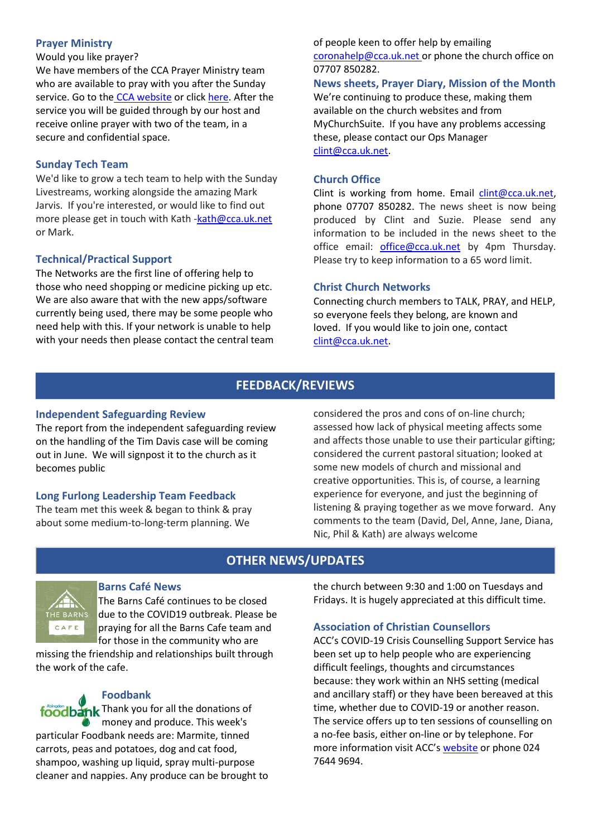### **Prayer Ministry**

Would you like prayer?

We have members of the CCA Prayer Ministry team who are available to pray with you after the Sunday service. Go to the [CCA website](https://cca.uk.net/sunday/) or click [here.](https://zoom.us/meeting/register/tJAkcu6vqTosHtWRZPsVVT4IT7ocgVpNOfhM) After the service you will be guided through by our host and receive online prayer with two of the team, in a secure and confidential space.

### **Sunday Tech Team**

We'd like to grow a tech team to help with the Sunday Livestreams, working alongside the amazing Mark Jarvis. If you're interested, or would like to find out more please get in touch with Kath [-kath@cca.uk.net](mailto:kath@cca.uk.net) or Mark.

### **Technical/Practical Support**

The Networks are the first line of offering help to those who need shopping or medicine picking up etc. We are also aware that with the new apps/software currently being used, there may be some people who need help with this. If your network is unable to help with your needs then please contact the central team

of people keen to offer help by emailing [coronahelp@cca.uk.net](mailto:coronahelp@cca.uk.net) or phone the church office on 07707 850282.

**News sheets, Prayer Diary, Mission of the Month** We're continuing to produce these, making them available on the church websites and from MyChurchSuite. If you have any problems accessing these, please contact our Ops Manager [clint@cca.uk.net.](mailto:clint@cca.uk.net)

### **Church Office**

Clint is working from home. Email [clint@cca.uk.net,](mailto:clint@cca.uk.net) phone 07707 850282. The news sheet is now being produced by Clint and Suzie. Please send any information to be included in the news sheet to the office email: [office@cca.uk.net](mailto:office@cca.uk.net) by 4pm Thursday. Please try to keep information to a 65 word limit.

### **Christ Church Networks**

Connecting church members to TALK, PRAY, and HELP, so everyone feels they belong, are known and loved. If you would like to join one, contact [clint@cca.uk.net.](mailto:clint@cca.uk.net)

### **FEEDBACK/REVIEWS**

### **Independent Safeguarding Review**

The report from the independent safeguarding review on the handling of the Tim Davis case will be coming out in June. We will signpost it to the church as it becomes public

### **Long Furlong Leadership Team Feedback**

The team met this week & began to think & pray about some medium-to-long-term planning. We

considered the pros and cons of on-line church; assessed how lack of physical meeting affects some and affects those unable to use their particular gifting; considered the current pastoral situation; looked at some new models of church and missional and creative opportunities. This is, of course, a learning experience for everyone, and just the beginning of listening & praying together as we move forward. Any comments to the team (David, Del, Anne, Jane, Diana, Nic, Phil & Kath) are always welcome

### **OTHER NEWS/UPDATES**



### **Barns Café News**

The Barns Café continues to be closed due to the COVID19 outbreak. Please be praying for all the Barns Cafe team and for those in the community who are

missing the friendship and relationships built through the work of the cafe.

### **Foodbank** foodbank Thank you for all the donations of money and produce. This week's particular Foodbank needs are: Marmite, tinned carrots, peas and potatoes, dog and cat food, shampoo, washing up liquid, spray multi-purpose cleaner and nappies. Any produce can be brought to

the church between 9:30 and 1:00 on Tuesdays and Fridays. It is hugely appreciated at this difficult time.

### **Association of Christian Counsellors**

ACC's COVID-19 Crisis Counselling Support Service has been set up to help people who are experiencing difficult feelings, thoughts and circumstances because: they work within an NHS setting (medical and ancillary staff) or they have been bereaved at this time, whether due to COVID-19 or another reason. The service offers up to ten sessions of counselling on a no-fee basis, either on-line or by telephone. For more information visit ACC's [website](http://www.acc-uk.org/) or phone 024 7644 9694.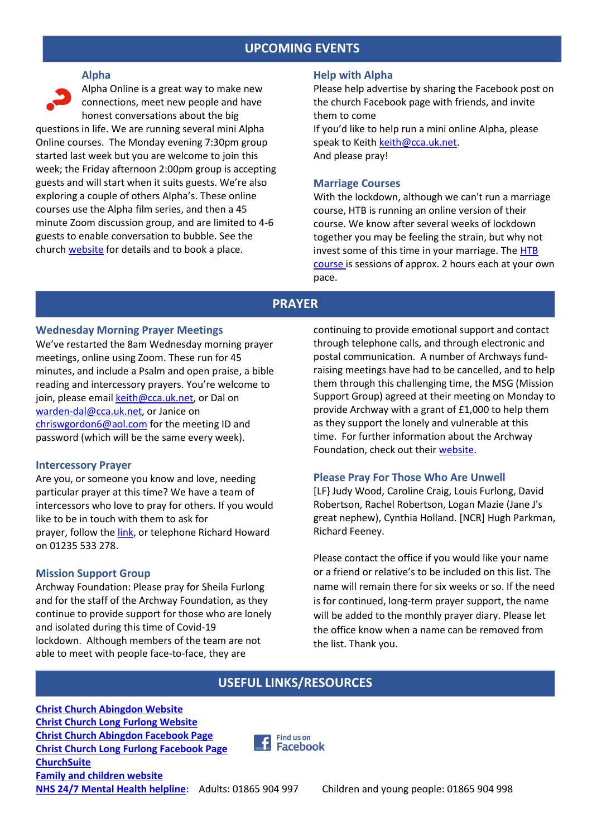### **UPCOMING EVENTS**

#### **Alpha**

Alpha Online is a great way to make new connections, meet new people and have honest conversations about the big

questions in life. We are running several mini Alpha Online courses. The Monday evening 7:30pm group started last week but you are welcome to join this week; the Friday afternoon 2:00pm group is accepting guests and will start when it suits guests. We're also exploring a couple of others Alpha's. These online courses use the Alpha film series, and then a 45 minute Zoom discussion group, and are limited to 4-6 guests to enable conversation to bubble. See the church [website](http://www.cca.uk.net/explore-faith/) for details and to book a place.

#### **Help with Alpha**

Please help advertise by sharing the Facebook post on the church Facebook page with friends, and invite them to come If you'd like to help run a mini online Alpha, please

speak to Keith [keith@cca.uk.net.](mailto:keith@cca.uk.net) And please pray!

### **Marriage Courses**

With the lockdown, although we can't run a marriage course, HTB is running an online version of their course. We know after several weeks of lockdown together you may be feeling the strain, but why not invest some of this time in your marriage. The [HTB](https://www.htb.org/marriage) [course](https://www.htb.org/marriage) is sessions of approx. 2 hours each at your own pace.

### **PRAYER**

### **Wednesday Morning Prayer Meetings**

We've restarted the 8am Wednesday morning prayer meetings, online using Zoom. These run for 45 minutes, and include a Psalm and open praise, a bible reading and intercessory prayers. You're welcome to join, please emai[l keith@cca.uk.net,](mailto:keith@cca.uk.net) or Dal on [warden-dal@cca.uk.net,](mailto:warden-dal@cca.uk.net) or Janice on [chriswgordon6@aol.com](mailto:chriswgordon6@aol.com) for the meeting ID and password (which will be the same every week).

#### **Intercessory Prayer**

Are you, or someone you know and love, needing particular prayer at this time? We have a team of intercessors who love to pray for others. If you would like to be in touch with them to ask for prayer, follow the [link,](https://docs.google.com/forms/d/e/1FAIpQLSfT-6Me8FrVVQa50ZUXThiDnzQ3aNU-nR12dM2JZQrD78vnLA/viewform) or telephone Richard Howard on 01235 533 278.

#### **Mission Support Group**

Archway Foundation: Please pray for Sheila Furlong and for the staff of the Archway Foundation, as they continue to provide support for those who are lonely and isolated during this time of Covid-19 lockdown. Although members of the team are not able to meet with people face-to-face, they are

continuing to provide emotional support and contact through telephone calls, and through electronic and postal communication. A number of Archways fundraising meetings have had to be cancelled, and to help them through this challenging time, the MSG (Mission Support Group) agreed at their meeting on Monday to provide Archway with a grant of £1,000 to help them as they support the lonely and vulnerable at this time. For further information about the Archway Foundation, check out thei[r website.](http://www.archwayfoundation.co.uk/)

#### **Please Pray For Those Who Are Unwell**

[LF} Judy Wood, Caroline Craig, Louis Furlong, David Robertson, Rachel Robertson, Logan Mazie (Jane J's great nephew), Cynthia Holland. [NCR] Hugh Parkman, Richard Feeney.

Please contact the office if you would like your name or a friend or relative's to be included on this list. The name will remain there for six weeks or so. If the need is for continued, long-term prayer support, the name will be added to the monthly prayer diary. Please let the office know when a name can be removed from the list. Thank you.

### **USEFUL LINKS/RESOURCES**

**[Christ Church Abingdon Website](http://www.cca.uk.net/) [Christ Church Long Furlong Website](http://www.longfurlongchurch.org.uk/) [Christ Church Abingdon Facebook Page](https://www.facebook.com/christchurchabingdon) [Christ Church Long Furlong Facebook Page](https://www.facebook.com/Christ-Church-Long-Furlong-761191873912044/) [ChurchSuite](https://login.churchsuite.com/?account=cca) [Family and children website](http://www.ccafamilyresources.com/) [NHS 24/7 Mental Health helpline:](https://www.oxfordhealth.nhs.uk/news/24-7-mental-health-helpline-replaces-111-in-oxfordshire-and-buckinghamshire/)** Adults: 01865 904 997 Children and young people: 01865 904 998